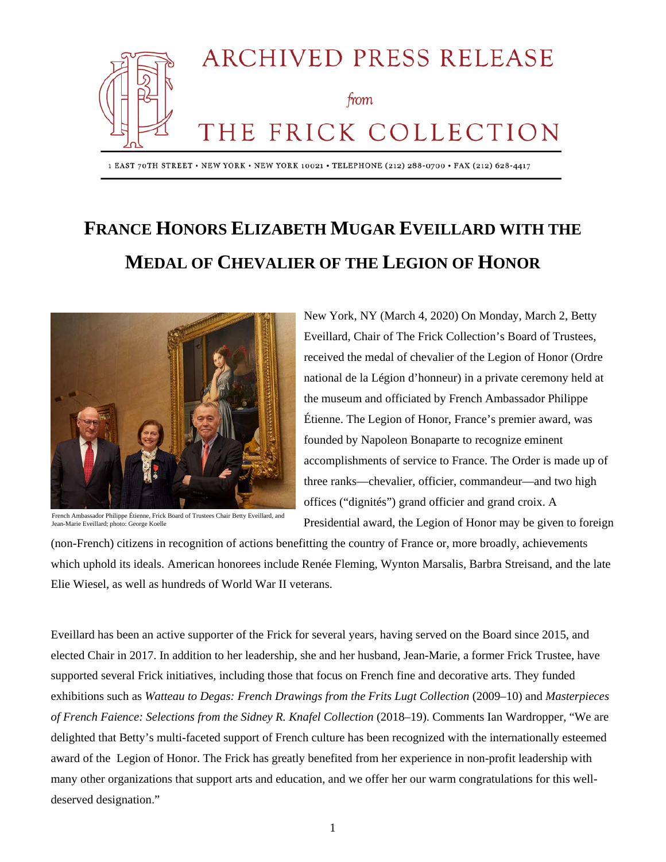

1 EAST 70TH STREET · NEW YORK · NEW YORK 10021 · TELEPHONE (212) 288-0700 · FAX (212) 628-4417

## **FRANCE HONORS ELIZABETH MUGAR EVEILLARD WITH THE MEDAL OF CHEVALIER OF THE LEGION OF HONOR**



French Ambassador Philippe Étienne, Frick Board of Trustees Chair Betty Eveillard, and Jean-Marie Eveillard; photo: George Koelle

New York, NY (March 4, 2020) On Monday, March 2, Betty Eveillard, Chair of The Frick Collection's Board of Trustees, received the medal of chevalier of the Legion of Honor (Ordre national de la Légion d'honneur) in a private ceremony held at the museum and officiated by French Ambassador Philippe Étienne. The Legion of Honor, France's premier award, was founded by Napoleon Bonaparte to recognize eminent accomplishments of service to France. The Order is made up of three ranks—chevalier, officier, commandeur—and two high offices ("dignités") grand officier and grand croix. A Presidential award, the Legion of Honor may be given to foreign

(non-French) citizens in recognition of actions benefitting the country of France or, more broadly, achievements which uphold its ideals. American honorees include Renée Fleming, Wynton Marsalis, Barbra Streisand, and the late Elie Wiesel, as well as hundreds of World War II veterans.

Eveillard has been an active supporter of the Frick for several years, having served on the Board since 2015, and elected Chair in 2017. In addition to her leadership, she and her husband, Jean-Marie, a former Frick Trustee, have supported several Frick initiatives, including those that focus on French fine and decorative arts. They funded exhibitions such as *Watteau to Degas: French Drawings from the Frits Lugt Collection* (2009–10) and *Masterpieces of French Faience: Selections from the Sidney R. Knafel Collection* (2018–19). Comments Ian Wardropper, "We are delighted that Betty's multi-faceted support of French culture has been recognized with the internationally esteemed award of the Legion of Honor. The Frick has greatly benefited from her experience in non-profit leadership with many other organizations that support arts and education, and we offer her our warm congratulations for this welldeserved designation."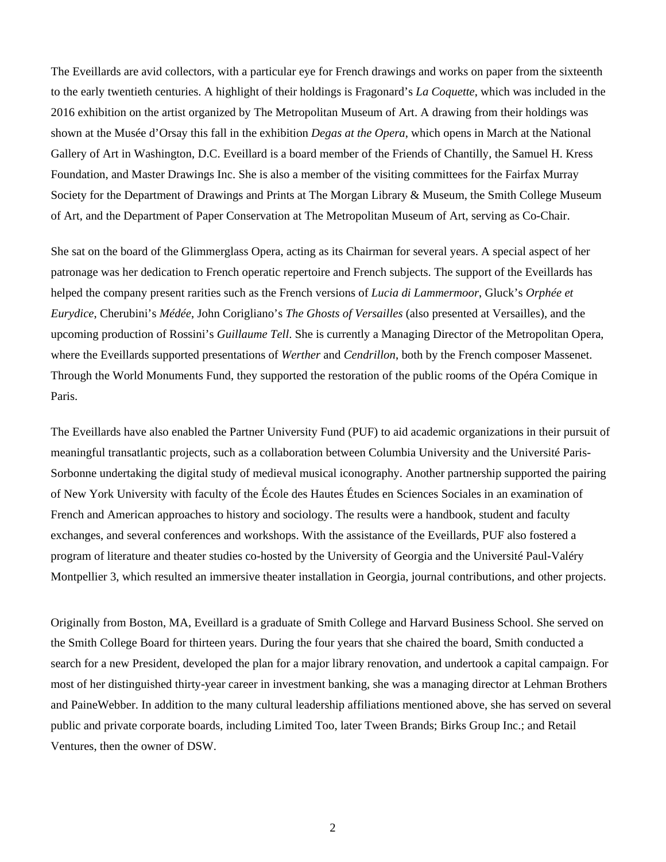The Eveillards are avid collectors, with a particular eye for French drawings and works on paper from the sixteenth to the early twentieth centuries. A highlight of their holdings is Fragonard's *La Coquette*, which was included in the 2016 exhibition on the artist organized by The Metropolitan Museum of Art. A drawing from their holdings was shown at the Musée d'Orsay this fall in the exhibition *Degas at the Opera*, which opens in March at the National Gallery of Art in Washington, D.C. Eveillard is a board member of the Friends of Chantilly, the Samuel H. Kress Foundation, and Master Drawings Inc. She is also a member of the visiting committees for the Fairfax Murray Society for the Department of Drawings and Prints at The Morgan Library & Museum, the Smith College Museum of Art, and the Department of Paper Conservation at The Metropolitan Museum of Art, serving as Co-Chair.

She sat on the board of the Glimmerglass Opera, acting as its Chairman for several years. A special aspect of her patronage was her dedication to French operatic repertoire and French subjects. The support of the Eveillards has helped the company present rarities such as the French versions of *Lucia di Lammermoor*, Gluck's *Orphée et Eurydice*, Cherubini's *Médée*, John Corigliano's *The Ghosts of Versailles* (also presented at Versailles), and the upcoming production of Rossini's *Guillaume Tell*. She is currently a Managing Director of the Metropolitan Opera, where the Eveillards supported presentations of *Werther* and *Cendrillon*, both by the French composer Massenet. Through the World Monuments Fund, they supported the restoration of the public rooms of the Opéra Comique in Paris.

The Eveillards have also enabled the Partner University Fund (PUF) to aid academic organizations in their pursuit of meaningful transatlantic projects, such as a collaboration between Columbia University and the Université Paris-Sorbonne undertaking the digital study of medieval musical iconography. Another partnership supported the pairing of New York University with faculty of the École des Hautes Études en Sciences Sociales in an examination of French and American approaches to history and sociology. The results were a handbook, student and faculty exchanges, and several conferences and workshops. With the assistance of the Eveillards, PUF also fostered a program of literature and theater studies co-hosted by the University of Georgia and the Université Paul-Valéry Montpellier 3, which resulted an immersive theater installation in Georgia, journal contributions, and other projects.

Originally from Boston, MA, Eveillard is a graduate of Smith College and Harvard Business School. She served on the Smith College Board for thirteen years. During the four years that she chaired the board, Smith conducted a search for a new President, developed the plan for a major library renovation, and undertook a capital campaign. For most of her distinguished thirty-year career in investment banking, she was a managing director at Lehman Brothers and PaineWebber. In addition to the many cultural leadership affiliations mentioned above, she has served on several public and private corporate boards, including Limited Too, later Tween Brands; Birks Group Inc.; and Retail Ventures, then the owner of DSW.